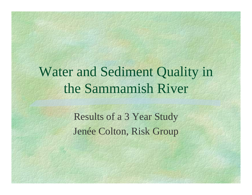# Water and Sediment Quality in the Sammamish River

Results of a 3 Year Study Jenée Colton, Risk Group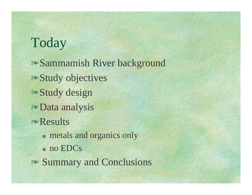# Today

*v*Sammamish River background *v*Study objectives *v*Study design <sup>v</sup>Data analysis vResults• metals and organics only  $\bullet$  no EDCs **EXECUTE:** Summary and Conclusions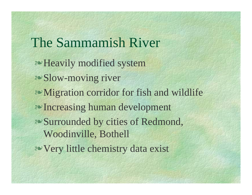The Sammamish River *v*-Heavily modified system *v*Slow-moving river *E* Migration corridor for fish and wildlife *v*Increasing human development *v* Surrounded by cities of Redmond, Woodinville, Bothell *v* Very little chemistry data exist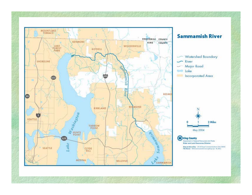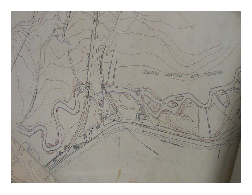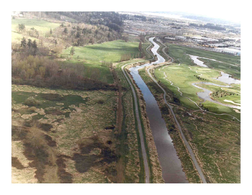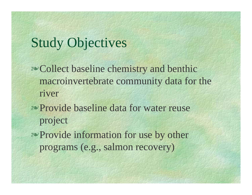## Study Objectives

- *v* Collect baseline chemistry and benthic macroinvertebrate community data for the river
- **Provide baseline data for water reuse** project
- **Provide information for use by other** programs (e.g., salmon recovery)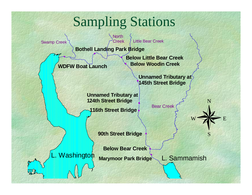# Sampling Stations

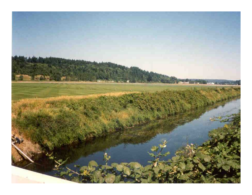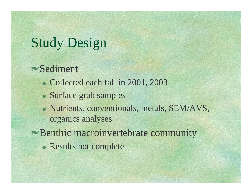# Study Design

<sup>v</sup>Sediment

- Collected each fall in 2001, 2003
- Surface grab samples
- Nutrients, conventionals, metals, SEM/AVS, organics analyses
- *E* Benthic macroinvertebrate community
	- Results not complete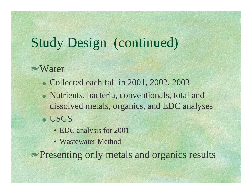# Study Design (continued)

- 2<sup>e</sup> Water
	- OCollected each fall in 2001, 2002, 2003
	- Nutrients, bacteria, conventionals, total and dissolved metals, organics, and EDC analyses O USGS
		- EDC analysis for 2001
		- Wastewater Method

**Presenting only metals and organics results**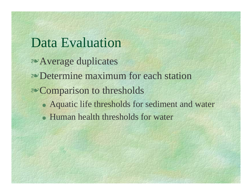Data Evaluation *v* Average duplicates *v* Determine maximum for each station *v* Comparison to thresholds • Aquatic life thresholds for sediment and water • Human health thresholds for water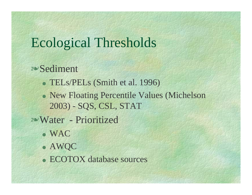# Ecological Thresholds

- <sup>v</sup>Sediment
	- O TELs/PELs (Smith et al. 1996)
	- New Floating Percentile Values (Michelson 2003) - SQS, CSL, STAT
- <sup>v</sup>Water Prioritized
	- $\bullet$  WAC
	- O AWQC
	- ECOTOX database sources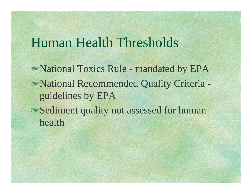### Human Health Thresholds

*P* National Toxics Rule - mandated by EPA *v* National Recommended Quality Criteria guidelines by EPA *v* Sediment quality not assessed for human health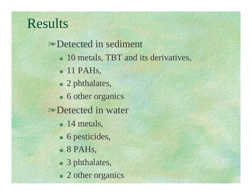### Results

#### <sup>v</sup>Detected in sediment

- 10 metals, TBT and its derivatives,
- $\bullet$  11 PAHs,
- $\bullet$  2 phthalates,
- 6 other organics
- *v* Detected in water
	- $\bullet$  14 metals,
	- $\bullet$  6 pesticides,
	- $\bullet$  8 PAHs,
	- 3 phthalates,
	- 2 other organics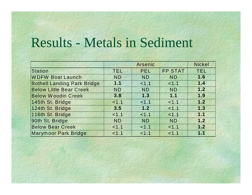# Results - Metals in Sediment

|                                    | <b>Arsenic</b> |           |                | <b>Nickel</b> |
|------------------------------------|----------------|-----------|----------------|---------------|
| Station                            | <b>TEL</b>     | PEL       | <b>FP STAT</b> | TEL           |
| <b>WDFW Boat Launch</b>            | <b>ND</b>      | <b>ND</b> | <b>ND</b>      | 1.6           |
| <b>Bothell Landing Park Bridge</b> | 1.1            | < 1.1     | < 1.1          | 1.4           |
| <b>Below Little Bear Creek</b>     | <b>ND</b>      | <b>ND</b> | <b>ND</b>      | 1.2           |
| <b>Below Woodin Creek</b>          | 3.8            | 1.3       | 1.1            | 1.9           |
| 145th St. Bridge                   | 1.1            | < 1.1     | 1.1            | 1.2           |
| 124th St. Bridge                   | 3.5            | 1.2       | 1.1            | 1.3           |
| 116th St. Bridge                   | 1.1            | < 1.1     | 1.1            | 1.1           |
| 90th St. Bridge                    | <b>ND</b>      | <b>ND</b> | <b>ND</b>      | 1.2           |
| <b>Below Bear Creek</b>            | < 1.1          | < 1.1     | < 1.1          | 1.2           |
| <b>Marymoor Park Bridge</b>        | < 1.1          | < 1.1     | 1.1            | 1.1           |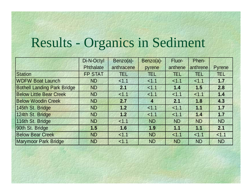# Results - Organics in Sediment

|                                    | Di-N-Octyl       | Benzo(a)-  | Benzo(a)-      | Fluor-    | Phen-      |           |
|------------------------------------|------------------|------------|----------------|-----------|------------|-----------|
|                                    | <b>Phthalate</b> | anthracene | pyrene         | anthene   | anthrene   | Pyrene    |
| <b>Station</b>                     | <b>FP STAT</b>   | TEL        | TEL            | TEE       | <b>TEL</b> | TEL       |
| <b>WDFW Boat Launch</b>            | <b>ND</b>        | < 1.1      | < 1.1          | < 1.1     | < 1.1      | 1.7       |
| <b>Bothell Landing Park Bridge</b> | <b>ND</b>        | 2.1        | < 1.1          | 1.4       | 1.5        | 2.8       |
| <b>Below Little Bear Creek</b>     | <b>ND</b>        | < 1.1      | < 1.1          | < 1.1     | < 1.1      | 1.4       |
| <b>Below Woodin Creek</b>          | <b>ND</b>        | 2.7        | $\overline{4}$ | 2.1       | 1.8        | 4.3       |
| 145th St. Bridge                   | <b>ND</b>        | 1.2        | < 1.1          | < 1.1     | 1.1        | 1.7       |
| 124th St. Bridge                   | <b>ND</b>        | 1.2        | < 1.1          | < 1.1     | 1.4        | 1.7       |
| 116th St. Bridge                   | <b>ND</b>        | < 1.1      | <b>ND</b>      | ND.       | <b>ND</b>  | <b>ND</b> |
| 90th St. Bridge                    | 1.5              | 1.6        | 1.9            | 1.1       | 1.1        | 2.1       |
| <b>Below Bear Creek</b>            | <b>ND</b>        | < 1.1      | <b>ND</b>      | < 1.1     | < 1.1      | < 1.1     |
| <b>Marymoor Park Bridge</b>        | <b>ND</b>        | 1.1        | <b>ND</b>      | <b>ND</b> | <b>ND</b>  | <b>ND</b> |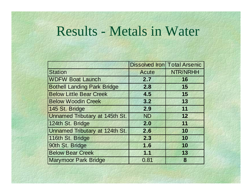# Results - Metals in Water

|                                       |           | <b>Dissolved Iron Total Arsenic</b> |
|---------------------------------------|-----------|-------------------------------------|
| <b>Station</b>                        | Acute     | NTR/NRHH                            |
| <b>WDFW Boat Launch</b>               | 2.7       | 16                                  |
| <b>Bothell Landing Park Bridge</b>    | 2.8       | 15                                  |
| <b>Below Little Bear Creek</b>        | 4.5       | 15                                  |
| <b>Below Woodin Creek</b>             | 3.2       | 13                                  |
| 145 St. Bridge                        | 2.9       | 11                                  |
| Unnamed Tributary at 145th St.        | <b>ND</b> | 12                                  |
| 124th St. Bridge                      | 2.0       | 11                                  |
| <b>Unnamed Tributary at 124th St.</b> | 2.6       | 10                                  |
| 116th St. Bridge                      | 2.3       | 10                                  |
| 90th St. Bridge                       | 1.6       | 10                                  |
| <b>Below Bear Creek</b>               | 1.1       | 13                                  |
| <b>Marymoor Park Bridge</b>           | 0.81      | 8                                   |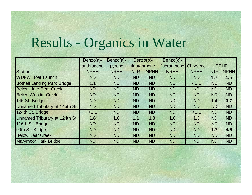# Results - Organics in Water

|                                    | $Benzo(a)$ - | $Benzo(a)-$ | Benzo(b)-    |             | Benzo(k)-    |             |             |             |
|------------------------------------|--------------|-------------|--------------|-------------|--------------|-------------|-------------|-------------|
|                                    | anthracene   | pyrene      | fluoranthene |             | fluoranthene | Chrysene    | <b>BEHP</b> |             |
| <b>Station</b>                     | <b>NRHH</b>  | <b>NRHH</b> | <b>NTR</b>   | <b>NRHH</b> | <b>NRHH</b>  | <b>NRHH</b> | <b>NTR</b>  | <b>NRHH</b> |
| <b>WDFW Boat Launch</b>            | <b>ND</b>    | <b>ND</b>   | ND           | <b>ND</b>   | <b>ND</b>    | <b>ND</b>   | 1.7         | 4.5         |
| <b>Bothell Landing Park Bridge</b> | 1.1          | <b>ND</b>   | <b>ND</b>    | <b>ND</b>   | <b>ND</b>    | < 1.1       | <b>ND</b>   | <b>ND</b>   |
| <b>Below Little Bear Creek</b>     | <b>ND</b>    | <b>ND</b>   | <b>ND</b>    | <b>ND</b>   | <b>ND</b>    | <b>ND</b>   | <b>ND</b>   | <b>ND</b>   |
| <b>Below Woodin Creek</b>          | <b>ND</b>    | <b>ND</b>   | <b>ND</b>    | <b>ND</b>   | <b>ND</b>    | <b>ND</b>   | <b>ND</b>   | <b>ND</b>   |
| 145 St. Bridge                     | <b>ND</b>    | <b>ND</b>   | <b>ND</b>    | <b>ND</b>   | <b>ND</b>    | <b>ND</b>   | 1.4         | 3.7         |
| Unnamed Tributary at 145th St.     | <b>ND</b>    | <b>ND</b>   | <b>ND</b>    | <b>ND</b>   | <b>ND</b>    | <b>ND</b>   | <b>ND</b>   | <b>ND</b>   |
| 124th St. Bridge                   | < 1.1        | <b>ND</b>   | <b>ND</b>    | <b>ND</b>   | <b>ND</b>    | < 1.1       | <b>ND</b>   | <b>ND</b>   |
| Unnamed Tributary at 124th St.     | 1.6          | 1.6         | 1.1          | 1.8         | 1.6          | 1.3         | <b>ND</b>   | <b>ND</b>   |
| 116th St. Bridge                   | <b>ND</b>    | <b>ND</b>   | <b>ND</b>    | <b>ND</b>   | <b>ND</b>    | <b>ND</b>   | <b>ND</b>   | <b>ND</b>   |
| 90th St. Bridge                    | <b>ND</b>    | <b>ND</b>   | <b>ND</b>    | <b>ND</b>   | <b>ND</b>    | <b>ND</b>   | 1.7         | 4.6         |
| <b>Below Bear Creek</b>            | <b>ND</b>    | <b>ND</b>   | <b>ND</b>    | <b>ND</b>   | <b>ND</b>    | <b>ND</b>   | <b>ND</b>   | <b>ND</b>   |
| <b>Marymoor Park Bridge</b>        | <b>ND</b>    | <b>ND</b>   | <b>ND</b>    | <b>ND</b>   | <b>ND</b>    | <b>ND</b>   | <b>ND</b>   | <b>ND</b>   |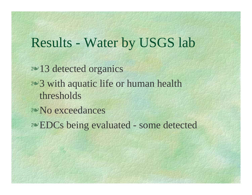### Results - Water by USGS lab

- <sup>v</sup>13 detected organics
- **2003** with aquatic life or human health thresholds
- *E* No exceedances
- <sup>v</sup>EDCs being evaluated some detected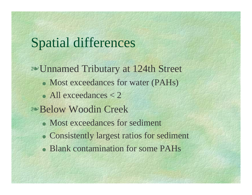### Spatial differences

- <sup>v</sup>Unnamed Tributary at 124th Street • Most exceedances for water (PAHs)  $\bullet$  All exceedances  $<$  2 <sup>v</sup>Below Woodin Creek • Most exceedances for sediment • Consistently largest ratios for sediment
	- Blank contamination for some PAHs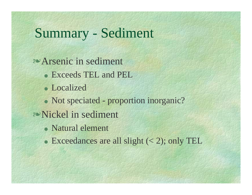### Summary - Sediment

<sup>v</sup>Arsenic in sediment O Exceeds TEL and PEL • Localized • Not speciated - proportion inorganic? <sup>v</sup>Nickel in sediment • Natural element  $\bullet$  Exceedances are all slight  $(< 2)$ ; only TEL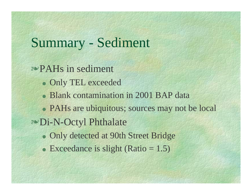# Summary - Sediment

- <sup>v</sup>PAHs in sediment
	- Only TEL exceeded
	- Blank contamination in 2001 BAP data
	- PAHs are ubiquitous; sources may not be local
- <sup>v</sup>Di-N-Octyl Phthalate
	- OOnly detected at 90th Street Bridge
	- Exceedance is slight (Ratio  $= 1.5$ )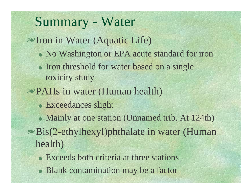#### Summary - Water

- **Post Iron in Water (Aquatic Life)** 
	- No Washington or EPA acute standard for iron
	- Iron threshold for water based on a single toxicity study
- **PAHs in water (Human health)** 
	- Exceedances slight
	- Mainly at one station (Unnamed trib. At 124th)
- $\psi$ Bis(2-ethylhexyl)phthalate in water (Human health)
	- Exceeds both criteria at three stations
	- Blank contamination may be a factor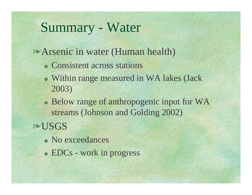# Summary - Water

- **P** $\triangle$ Arsenic in water (Human health)
	- Consistent across stations
	- Within range measured in WA lakes (Jack 2003)
	- Below range of anthropogenic input for WA streams (Johnson and Golding 2002)
- <sup>v</sup>USGS
	- No exceedances
	- $\bullet$  EDCs work in progress